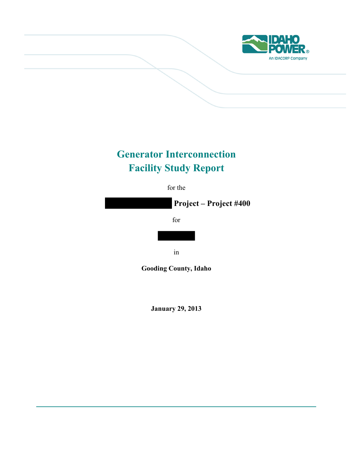

# **Generator Interconnection Facility Study Report**

for the

**Project – Project #400** 

for

in

**Gooding County, Idaho**

**January 29, 2013**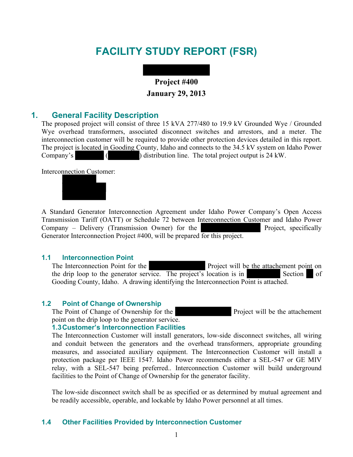# **FACILITY STUDY REPORT (FSR)**



### **1. General Facility Description**

The proposed project will consist of three 15 kVA 277/480 to 19.9 kV Grounded Wye / Grounded Wye overhead transformers, associated disconnect switches and arrestors, and a meter. The interconnection customer will be required to provide other protection devices detailed in this report. The project is located in Gooding County, Idaho and connects to the 34.5 kV system on Idaho Power Company's ( ) distribution line. The total project output is 24 kW.

Interconnection Customer:



A Standard Generator Interconnection Agreement under Idaho Power Company's Open Access Transmission Tariff (OATT) or Schedule 72 between Interconnection Customer and Idaho Power Company – Delivery (Transmission Owner) for the Project, specifically Generator Interconnection Project #400, will be prepared for this project.

#### **1.1 Interconnection Point**

The Interconnection Point for the Project will be the attachement point on the drip loop to the generator service. The project's location is in Section of Gooding County, Idaho. A drawing identifying the Interconnection Point is attached.

#### **1.2 Point of Change of Ownership**

The Point of Change of Ownership for the Project will be the attachement point on the drip loop to the generator service.

#### **1.3 Customer's Interconnection Facilities**

The Interconnection Customer will install generators, low-side disconnect switches, all wiring and conduit between the generators and the overhead transformers, appropriate grounding measures, and associated auxiliary equipment. The Interconnection Customer will install a protection package per IEEE 1547. Idaho Power recommends either a SEL-547 or GE MIV relay, with a SEL-547 being preferred.. Interconnection Customer will build underground facilities to the Point of Change of Ownership for the generator facility.

The low-side disconnect switch shall be as specified or as determined by mutual agreement and be readily accessible, operable, and lockable by Idaho Power personnel at all times.

#### **1.4 Other Facilities Provided by Interconnection Customer**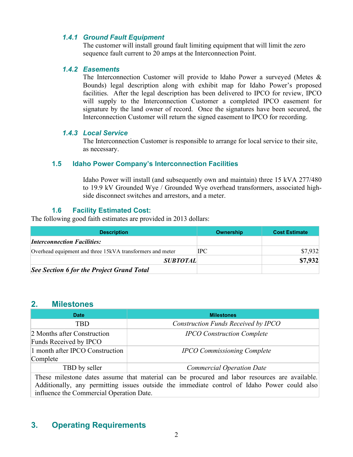### *1.4.1 Ground Fault Equipment*

The customer will install ground fault limiting equipment that will limit the zero sequence fault current to 20 amps at the Interconnection Point.

#### *1.4.2 Easements*

The Interconnection Customer will provide to Idaho Power a surveyed (Metes & Bounds) legal description along with exhibit map for Idaho Power's proposed facilities. After the legal description has been delivered to IPCO for review, IPCO will supply to the Interconnection Customer a completed IPCO easement for signature by the land owner of record. Once the signatures have been secured, the Interconnection Customer will return the signed easement to IPCO for recording.

### *1.4.3 Local Service*

The Interconnection Customer is responsible to arrange for local service to their site, as necessary.

### **1.5 Idaho Power Company's Interconnection Facilities**

Idaho Power will install (and subsequently own and maintain) three 15 kVA 277/480 to 19.9 kV Grounded Wye / Grounded Wye overhead transformers, associated highside disconnect switches and arrestors, and a meter.

## **1.6 Facility Estimated Cost:**

The following good faith estimates are provided in 2013 dollars:

| <b>Description</b>                                        | Ownership | <b>Cost Estimate</b> |
|-----------------------------------------------------------|-----------|----------------------|
| <i><b>Interconnection Facilities:</b></i>                 |           |                      |
| Overhead equipment and three 15kVA transformers and meter | IPC       | \$7,932              |
| <b>SUBTOTAL</b>                                           |           | \$7,932              |
| See Section 6 for the Project Grand Total                 |           |                      |

### **2. Milestones**

| <b>Date</b>                                                                                   | <b>Milestones</b>                   |  |  |
|-----------------------------------------------------------------------------------------------|-------------------------------------|--|--|
| <b>TBD</b>                                                                                    | Construction Funds Received by IPCO |  |  |
| 2 Months after Construction<br>Funds Received by IPCO                                         | <b>IPCO</b> Construction Complete   |  |  |
| 1 month after IPCO Construction<br>Complete                                                   | <b>IPCO Commissioning Complete</b>  |  |  |
| TBD by seller                                                                                 | <b>Commercial Operation Date</b>    |  |  |
| These milestone dates assume that material can be procured and labor resources are available. |                                     |  |  |

Additionally, any permitting issues outside the immediate control of Idaho Power could also influence the Commercial Operation Date.

# **3. Operating Requirements**